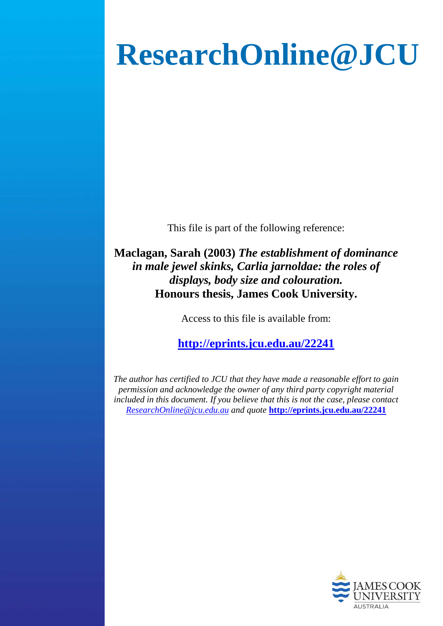# **ResearchOnline@JCU**

This file is part of the following reference:

**Maclagan, Sarah (2003)** *The establishment of dominance in male jewel skinks, Carlia jarnoldae: the roles of displays, body size and colouration.* **Honours thesis, James Cook University.**

Access to this file is available from:

**<http://eprints.jcu.edu.au/22241>**

*The author has certified to JCU that they have made a reasonable effort to gain permission and acknowledge the owner of any third party copyright material included in this document. If you believe that this is not the case, please contact [ResearchOnline@jcu.edu.au](mailto:ResearchOnline@jcu.edu.au) and quote* **<http://eprints.jcu.edu.au/22241>**

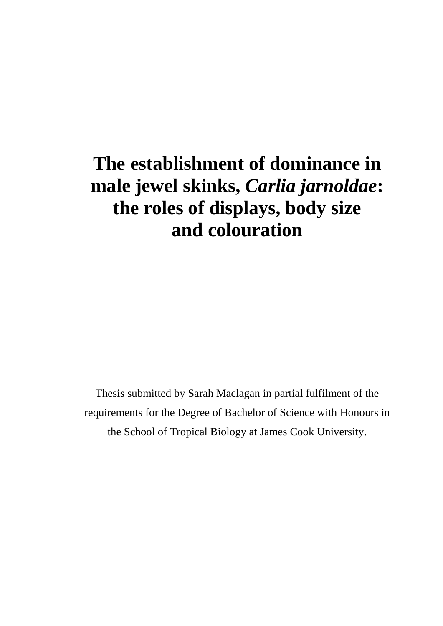## **The establishment of dominance in male jewel skinks,** *Carlia jarnoldae***: the roles of displays, body size and colouration**

Thesis submitted by Sarah Maclagan in partial fulfilment of the requirements for the Degree of Bachelor of Science with Honours in the School of Tropical Biology at James Cook University.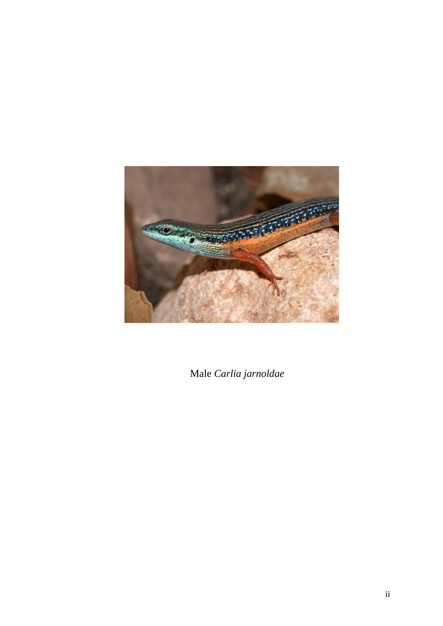

Male *Carlia jarnoldae*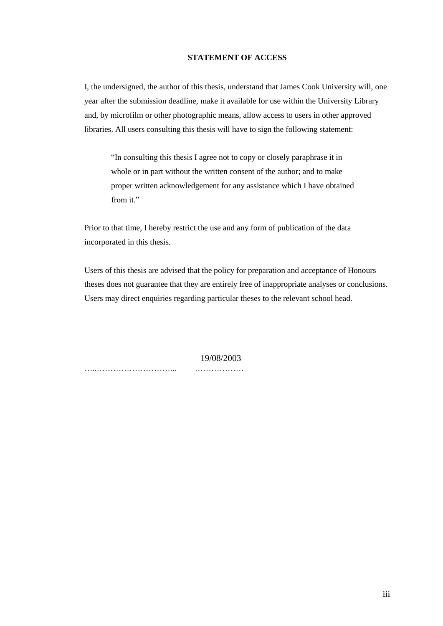#### **STATEMENT OF ACCESS**

I, the undersigned, the author of this thesis, understand that James Cook University will, one year after the submission deadline, make it available for use within the University Library and, by microfilm or other photographic means, allow access to users in other approved libraries. All users consulting this thesis will have to sign the following statement:

"In consulting this thesis I agree not to copy or closely paraphrase it in whole or in part without the written consent of the author; and to make proper written acknowledgement for any assistance which I have obtained from it."

Prior to that time, I hereby restrict the use and any form of publication of the data incorporated in this thesis.

Users of this thesis are advised that the policy for preparation and acceptance of Honours theses does not guarantee that they are entirely free of inappropriate analyses or conclusions. Users may direct enquiries regarding particular theses to the relevant school head.

19/08/2003

…..………………………... ………………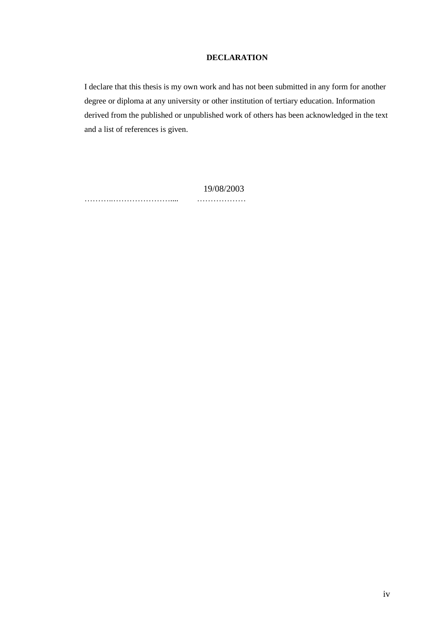#### **DECLARATION**

I declare that this thesis is my own work and has not been submitted in any form for another degree or diploma at any university or other institution of tertiary education. Information derived from the published or unpublished work of others has been acknowledged in the text and a list of references is given.

 19/08/2003 ………..………………….... ………………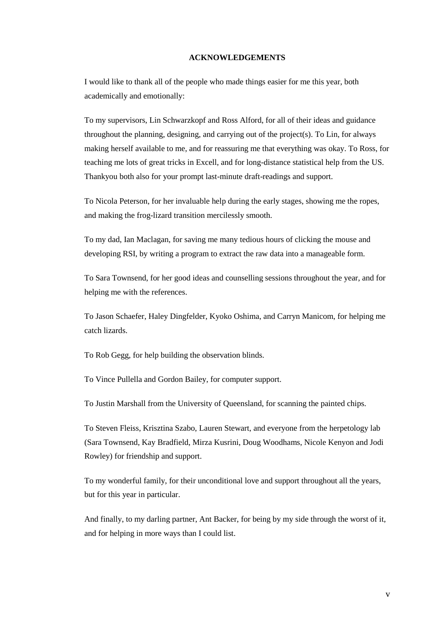#### **ACKNOWLEDGEMENTS**

I would like to thank all of the people who made things easier for me this year, both academically and emotionally:

To my supervisors, Lin Schwarzkopf and Ross Alford, for all of their ideas and guidance throughout the planning, designing, and carrying out of the project(s). To Lin, for always making herself available to me, and for reassuring me that everything was okay. To Ross, for teaching me lots of great tricks in Excell, and for long-distance statistical help from the US. Thankyou both also for your prompt last-minute draft-readings and support.

To Nicola Peterson, for her invaluable help during the early stages, showing me the ropes, and making the frog-lizard transition mercilessly smooth.

To my dad, Ian Maclagan, for saving me many tedious hours of clicking the mouse and developing RSI, by writing a program to extract the raw data into a manageable form.

To Sara Townsend, for her good ideas and counselling sessions throughout the year, and for helping me with the references.

To Jason Schaefer, Haley Dingfelder, Kyoko Oshima, and Carryn Manicom, for helping me catch lizards.

To Rob Gegg, for help building the observation blinds.

To Vince Pullella and Gordon Bailey, for computer support.

To Justin Marshall from the University of Queensland, for scanning the painted chips.

To Steven Fleiss, Krisztina Szabo, Lauren Stewart, and everyone from the herpetology lab (Sara Townsend, Kay Bradfield, Mirza Kusrini, Doug Woodhams, Nicole Kenyon and Jodi Rowley) for friendship and support.

To my wonderful family, for their unconditional love and support throughout all the years, but for this year in particular.

And finally, to my darling partner, Ant Backer, for being by my side through the worst of it, and for helping in more ways than I could list.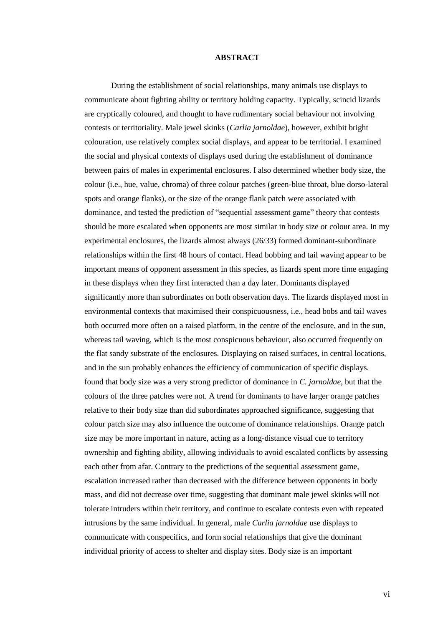#### **ABSTRACT**

During the establishment of social relationships, many animals use displays to communicate about fighting ability or territory holding capacity. Typically, scincid lizards are cryptically coloured, and thought to have rudimentary social behaviour not involving contests or territoriality. Male jewel skinks (*Carlia jarnoldae*), however, exhibit bright colouration, use relatively complex social displays, and appear to be territorial. I examined the social and physical contexts of displays used during the establishment of dominance between pairs of males in experimental enclosures. I also determined whether body size, the colour (i.e., hue, value, chroma) of three colour patches (green-blue throat, blue dorso-lateral spots and orange flanks), or the size of the orange flank patch were associated with dominance, and tested the prediction of "sequential assessment game" theory that contests should be more escalated when opponents are most similar in body size or colour area. In my experimental enclosures, the lizards almost always (26/33) formed dominant-subordinate relationships within the first 48 hours of contact. Head bobbing and tail waving appear to be important means of opponent assessment in this species, as lizards spent more time engaging in these displays when they first interacted than a day later. Dominants displayed significantly more than subordinates on both observation days. The lizards displayed most in environmental contexts that maximised their conspicuousness, i.e., head bobs and tail waves both occurred more often on a raised platform, in the centre of the enclosure, and in the sun, whereas tail waving, which is the most conspicuous behaviour, also occurred frequently on the flat sandy substrate of the enclosures. Displaying on raised surfaces, in central locations, and in the sun probably enhances the efficiency of communication of specific displays. found that body size was a very strong predictor of dominance in *C. jarnoldae*, but that the colours of the three patches were not. A trend for dominants to have larger orange patches relative to their body size than did subordinates approached significance, suggesting that colour patch size may also influence the outcome of dominance relationships. Orange patch size may be more important in nature, acting as a long-distance visual cue to territory ownership and fighting ability, allowing individuals to avoid escalated conflicts by assessing each other from afar. Contrary to the predictions of the sequential assessment game, escalation increased rather than decreased with the difference between opponents in body mass, and did not decrease over time, suggesting that dominant male jewel skinks will not tolerate intruders within their territory, and continue to escalate contests even with repeated intrusions by the same individual. In general, male *Carlia jarnoldae* use displays to communicate with conspecifics, and form social relationships that give the dominant individual priority of access to shelter and display sites. Body size is an important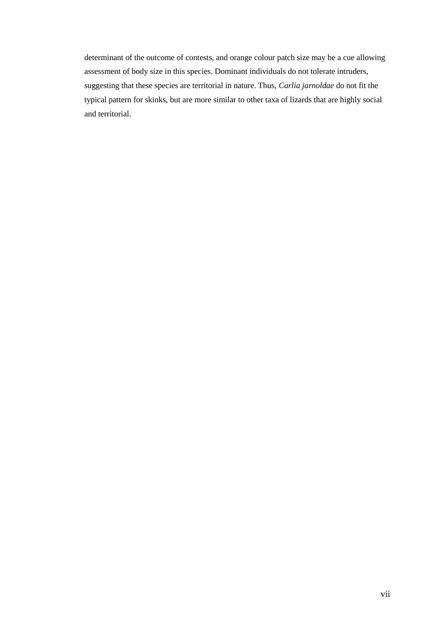determinant of the outcome of contests, and orange colour patch size may be a cue allowing assessment of body size in this species. Dominant individuals do not tolerate intruders, suggesting that these species are territorial in nature. Thus, *Carlia jarnoldae* do not fit the typical pattern for skinks, but are more similar to other taxa of lizards that are highly social and territorial.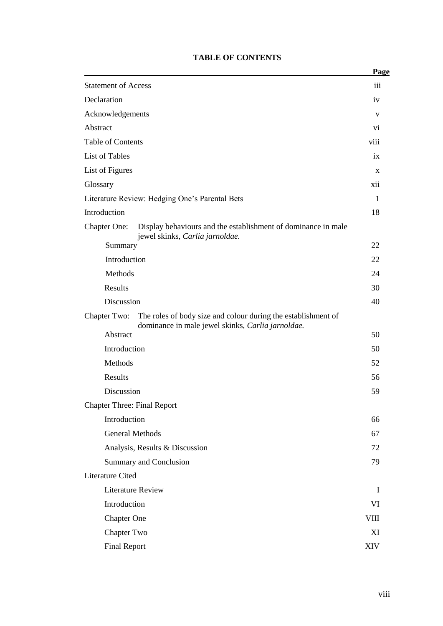|                                                                                                                                    | Page         |
|------------------------------------------------------------------------------------------------------------------------------------|--------------|
| <b>Statement of Access</b>                                                                                                         | iii          |
| Declaration                                                                                                                        | iv           |
| Acknowledgements                                                                                                                   | $\mathbf{V}$ |
| Abstract                                                                                                                           | Vİ.          |
| <b>Table of Contents</b>                                                                                                           | viii         |
| <b>List of Tables</b>                                                                                                              | ix           |
| List of Figures                                                                                                                    | X            |
| Glossary                                                                                                                           | xii          |
| Literature Review: Hedging One's Parental Bets                                                                                     | 1            |
| Introduction                                                                                                                       | 18           |
| <b>Chapter One:</b><br>Display behaviours and the establishment of dominance in male<br>jewel skinks, Carlia jarnoldae.            |              |
| Summary                                                                                                                            | 22           |
| Introduction                                                                                                                       | 22           |
| Methods                                                                                                                            | 24           |
| Results                                                                                                                            | 30           |
| Discussion                                                                                                                         | 40           |
| The roles of body size and colour during the establishment of<br>Chapter Two:<br>dominance in male jewel skinks, Carlia jarnoldae. |              |
| Abstract                                                                                                                           | 50           |
| Introduction                                                                                                                       | 50           |
| Methods                                                                                                                            | 52           |
| <b>Results</b>                                                                                                                     | 56           |
| Discussion                                                                                                                         | 59           |
| <b>Chapter Three: Final Report</b>                                                                                                 |              |
| Introduction                                                                                                                       | 66           |
| <b>General Methods</b>                                                                                                             | 67           |
| Analysis, Results & Discussion                                                                                                     | 72           |
| Summary and Conclusion                                                                                                             | 79           |
| <b>Literature Cited</b>                                                                                                            |              |
| <b>Literature Review</b>                                                                                                           | I            |
| Introduction                                                                                                                       | VI           |
| <b>Chapter One</b>                                                                                                                 | <b>VIII</b>  |
| <b>Chapter Two</b>                                                                                                                 | XI           |
| <b>Final Report</b>                                                                                                                | <b>XIV</b>   |

#### **TABLE OF CONTENTS**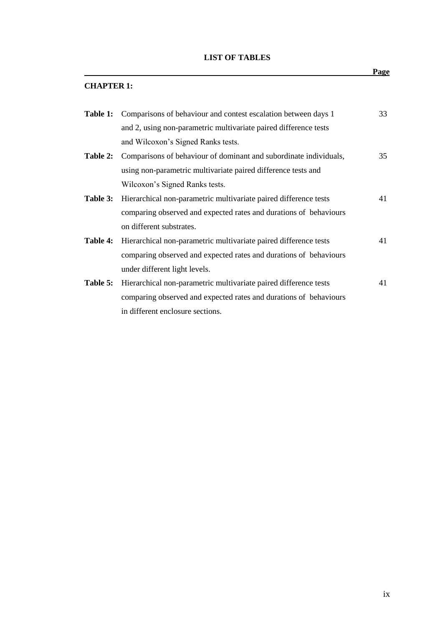|  |  | <b>LIST OF TABLES</b> |
|--|--|-----------------------|
|--|--|-----------------------|

|                   |                                                                   | <b>Page</b> |
|-------------------|-------------------------------------------------------------------|-------------|
| <b>CHAPTER 1:</b> |                                                                   |             |
| Table 1:          | Comparisons of behaviour and contest escalation between days 1    | 33          |
|                   | and 2, using non-parametric multivariate paired difference tests  |             |
|                   | and Wilcoxon's Signed Ranks tests.                                |             |
| Table 2:          | Comparisons of behaviour of dominant and subordinate individuals, | 35          |
|                   | using non-parametric multivariate paired difference tests and     |             |
|                   | Wilcoxon's Signed Ranks tests.                                    |             |
| Table 3:          | Hierarchical non-parametric multivariate paired difference tests  | 41          |
|                   | comparing observed and expected rates and durations of behaviours |             |
|                   | on different substrates.                                          |             |
| Table 4:          | Hierarchical non-parametric multivariate paired difference tests  | 41          |
|                   | comparing observed and expected rates and durations of behaviours |             |
|                   | under different light levels.                                     |             |
| Table 5:          | Hierarchical non-parametric multivariate paired difference tests  | 41          |
|                   | comparing observed and expected rates and durations of behaviours |             |
|                   | in different enclosure sections.                                  |             |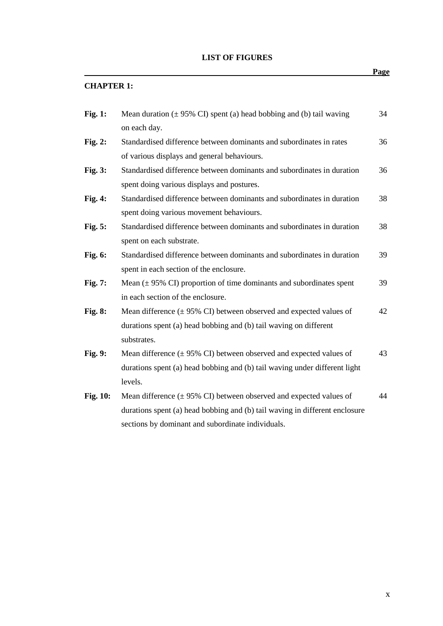#### **LIST OF FIGURES**

### *Page* **CHAPTER 1: Fig. 1:** Mean duration ( $\pm$  95% CI) spent (a) head bobbing and (b) tail waving 34 on each day. **Fig. 2:** Standardised difference between dominants and subordinates in rates 36 of various displays and general behaviours. **Fig. 3:** Standardised difference between dominants and subordinates in duration 36 spent doing various displays and postures. **Fig. 4:** Standardised difference between dominants and subordinates in duration 38 spent doing various movement behaviours. **Fig. 5:** Standardised difference between dominants and subordinates in duration 38 spent on each substrate. **Fig. 6:** Standardised difference between dominants and subordinates in duration 39 spent in each section of the enclosure. **Fig. 7:** Mean ( $\pm$  95% CI) proportion of time dominants and subordinates spent 39 in each section of the enclosure. **Fig. 8:** Mean difference ( $\pm$  95% CI) between observed and expected values of 42 durations spent (a) head bobbing and (b) tail waving on different substrates. **Fig. 9:** Mean difference ( $\pm$  95% CI) between observed and expected values of 43 durations spent (a) head bobbing and (b) tail waving under different light levels. **Fig. 10:** Mean difference ( $\pm$  95% CI) between observed and expected values of 44 durations spent (a) head bobbing and (b) tail waving in different enclosure sections by dominant and subordinate individuals.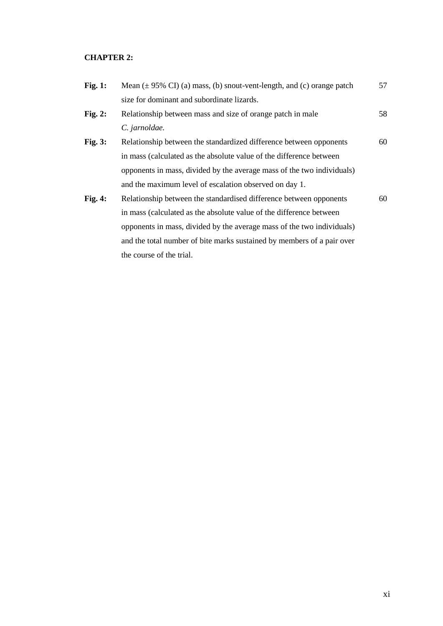#### **CHAPTER 2:**

| Fig. $1:$      | Mean $(\pm 95\% \text{ CI})$ (a) mass, (b) snout-vent-length, and (c) orange patch | 57 |
|----------------|------------------------------------------------------------------------------------|----|
|                | size for dominant and subordinate lizards.                                         |    |
| Fig. $2:$      | Relationship between mass and size of orange patch in male                         | 58 |
|                | C. jarnoldae.                                                                      |    |
| <b>Fig. 3:</b> | Relationship between the standardized difference between opponents                 | 60 |
|                | in mass (calculated as the absolute value of the difference between                |    |
|                | opponents in mass, divided by the average mass of the two individuals)             |    |
|                | and the maximum level of escalation observed on day 1.                             |    |
| Fig. 4:        | Relationship between the standardised difference between opponents                 | 60 |
|                | in mass (calculated as the absolute value of the difference between                |    |
|                | opponents in mass, divided by the average mass of the two individuals)             |    |
|                | and the total number of bite marks sustained by members of a pair over             |    |
|                | the course of the trial.                                                           |    |